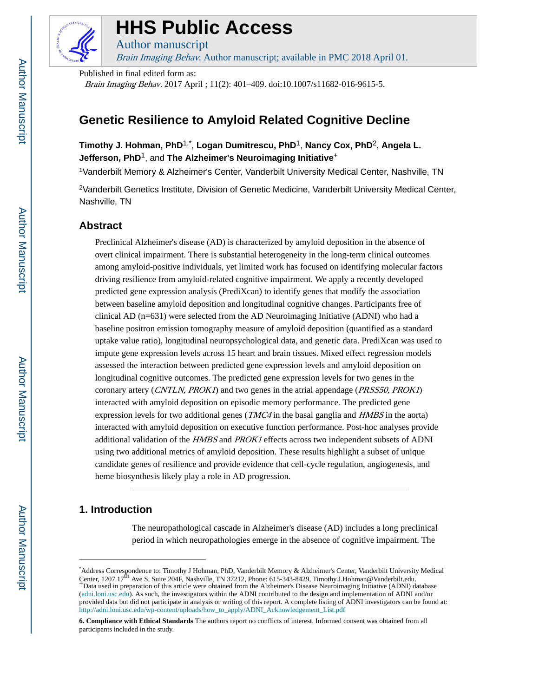

# **HHS Public Access**

Author manuscript Brain Imaging Behav. Author manuscript; available in PMC 2018 April 01.

Published in final edited form as:

Brain Imaging Behav. 2017 April ; 11(2): 401–409. doi:10.1007/s11682-016-9615-5.

## **Genetic Resilience to Amyloid Related Cognitive Decline**

**Timothy J. Hohman, PhD**1,\* , **Logan Dumitrescu, PhD**1, **Nancy Cox, PhD**2, **Angela L. Jefferson, PhD**1, and **The Alzheimer's Neuroimaging Initiative**<sup>+</sup>

<sup>1</sup>Vanderbilt Memory & Alzheimer's Center, Vanderbilt University Medical Center, Nashville, TN

<sup>2</sup>Vanderbilt Genetics Institute, Division of Genetic Medicine, Vanderbilt University Medical Center, Nashville, TN

#### **Abstract**

Preclinical Alzheimer's disease (AD) is characterized by amyloid deposition in the absence of overt clinical impairment. There is substantial heterogeneity in the long-term clinical outcomes among amyloid-positive individuals, yet limited work has focused on identifying molecular factors driving resilience from amyloid-related cognitive impairment. We apply a recently developed predicted gene expression analysis (PrediXcan) to identify genes that modify the association between baseline amyloid deposition and longitudinal cognitive changes. Participants free of clinical AD (n=631) were selected from the AD Neuroimaging Initiative (ADNI) who had a baseline positron emission tomography measure of amyloid deposition (quantified as a standard uptake value ratio), longitudinal neuropsychological data, and genetic data. PrediXcan was used to impute gene expression levels across 15 heart and brain tissues. Mixed effect regression models assessed the interaction between predicted gene expression levels and amyloid deposition on longitudinal cognitive outcomes. The predicted gene expression levels for two genes in the coronary artery (CNTLN, PROK1) and two genes in the atrial appendage (PRSS50, PROK1) interacted with amyloid deposition on episodic memory performance. The predicted gene expression levels for two additional genes ( $TMC4$  in the basal ganglia and  $HMBS$  in the aorta) interacted with amyloid deposition on executive function performance. Post-hoc analyses provide additional validation of the HMBS and PROK1 effects across two independent subsets of ADNI using two additional metrics of amyloid deposition. These results highlight a subset of unique candidate genes of resilience and provide evidence that cell-cycle regulation, angiogenesis, and heme biosynthesis likely play a role in AD progression.

## **1. Introduction**

The neuropathological cascade in Alzheimer's disease (AD) includes a long preclinical period in which neuropathologies emerge in the absence of cognitive impairment. The

Address Correspondence to: Timothy J Hohman, PhD, Vanderbilt Memory & Alzheimer's Center, Vanderbilt University Medical Center, 1207 17<sup>th</sup> Ave S, Suite 204F, Nashville, TN 37212, Phone: 615-343-8429, Timothy.J.Hohman@Vand +Data used in preparation of this article were obtained from the Alzheimer's Disease Neuroimaging Initiative (ADNI) database ([adni.loni.usc.edu](http://adni.loni.usc.edu)). As such, the investigators within the ADNI contributed to the design and implementation of ADNI and/or provided data but did not participate in analysis or writing of this report. A complete listing of ADNI investigators can be found at: [http://adni.loni.usc.edu/wp-content/uploads/how\\_to\\_apply/ADNI\\_Acknowledgement\\_List.pdf](http://adni.loni.usc.edu/wp-content/uploads/how_to_apply/ADNI_Acknowledgement_List.pdf)

**<sup>6.</sup> Compliance with Ethical Standards** The authors report no conflicts of interest. Informed consent was obtained from all participants included in the study.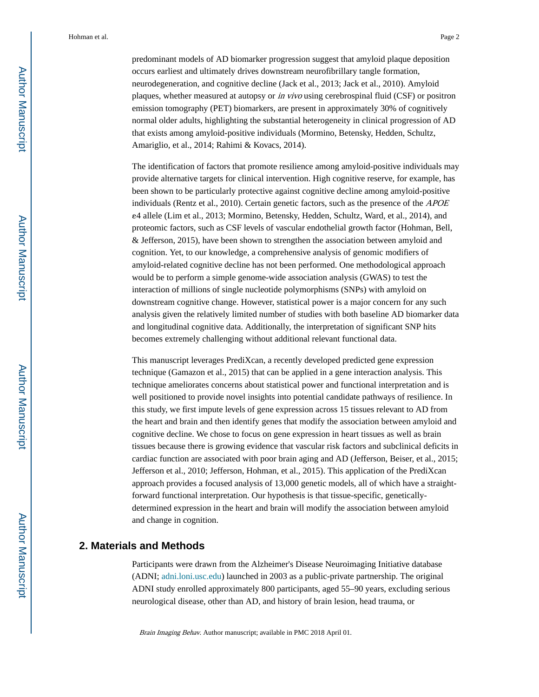predominant models of AD biomarker progression suggest that amyloid plaque deposition occurs earliest and ultimately drives downstream neurofibrillary tangle formation, neurodegeneration, and cognitive decline (Jack et al., 2013; Jack et al., 2010). Amyloid plaques, whether measured at autopsy or in vivo using cerebrospinal fluid (CSF) or positron emission tomography (PET) biomarkers, are present in approximately 30% of cognitively normal older adults, highlighting the substantial heterogeneity in clinical progression of AD that exists among amyloid-positive individuals (Mormino, Betensky, Hedden, Schultz, Amariglio, et al., 2014; Rahimi & Kovacs, 2014).

The identification of factors that promote resilience among amyloid-positive individuals may provide alternative targets for clinical intervention. High cognitive reserve, for example, has been shown to be particularly protective against cognitive decline among amyloid-positive individuals (Rentz et al., 2010). Certain genetic factors, such as the presence of the APOE ε4 allele (Lim et al., 2013; Mormino, Betensky, Hedden, Schultz, Ward, et al., 2014), and proteomic factors, such as CSF levels of vascular endothelial growth factor (Hohman, Bell, & Jefferson, 2015), have been shown to strengthen the association between amyloid and cognition. Yet, to our knowledge, a comprehensive analysis of genomic modifiers of amyloid-related cognitive decline has not been performed. One methodological approach would be to perform a simple genome-wide association analysis (GWAS) to test the interaction of millions of single nucleotide polymorphisms (SNPs) with amyloid on downstream cognitive change. However, statistical power is a major concern for any such analysis given the relatively limited number of studies with both baseline AD biomarker data and longitudinal cognitive data. Additionally, the interpretation of significant SNP hits becomes extremely challenging without additional relevant functional data.

This manuscript leverages PrediXcan, a recently developed predicted gene expression technique (Gamazon et al., 2015) that can be applied in a gene interaction analysis. This technique ameliorates concerns about statistical power and functional interpretation and is well positioned to provide novel insights into potential candidate pathways of resilience. In this study, we first impute levels of gene expression across 15 tissues relevant to AD from the heart and brain and then identify genes that modify the association between amyloid and cognitive decline. We chose to focus on gene expression in heart tissues as well as brain tissues because there is growing evidence that vascular risk factors and subclinical deficits in cardiac function are associated with poor brain aging and AD (Jefferson, Beiser, et al., 2015; Jefferson et al., 2010; Jefferson, Hohman, et al., 2015). This application of the PrediXcan approach provides a focused analysis of 13,000 genetic models, all of which have a straightforward functional interpretation. Our hypothesis is that tissue-specific, geneticallydetermined expression in the heart and brain will modify the association between amyloid and change in cognition.

#### **2. Materials and Methods**

Participants were drawn from the Alzheimer's Disease Neuroimaging Initiative database (ADNI; [adni.loni.usc.edu\)](http://adni.loni.usc.edu) launched in 2003 as a public-private partnership. The original ADNI study enrolled approximately 800 participants, aged 55–90 years, excluding serious neurological disease, other than AD, and history of brain lesion, head trauma, or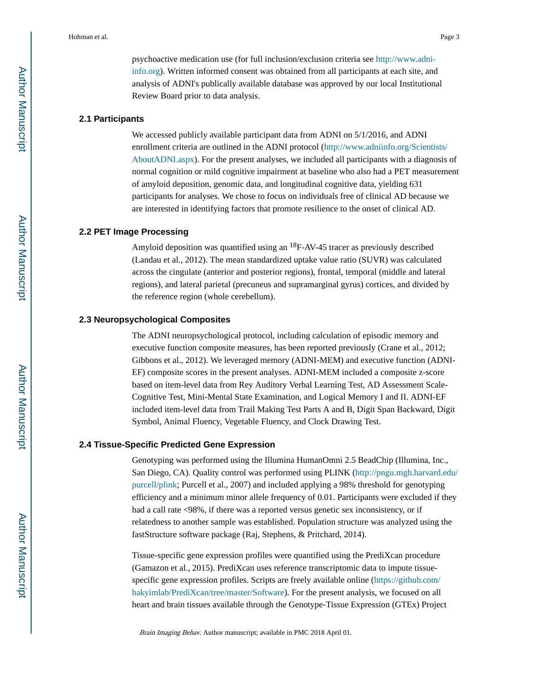psychoactive medication use (for full inclusion/exclusion criteria see [http://www.adni](http://www.adni-info.org)[info.org\)](http://www.adni-info.org). Written informed consent was obtained from all participants at each site, and analysis of ADNI's publically available database was approved by our local Institutional Review Board prior to data analysis.

#### **2.1 Participants**

We accessed publicly available participant data from ADNI on 5/1/2016, and ADNI enrollment criteria are outlined in the ADNI protocol [\(http://www.adniinfo.org/Scientists/](http://www.adniinfo.org/Scientists/AboutADNI.aspx) [AboutADNI.aspx\)](http://www.adniinfo.org/Scientists/AboutADNI.aspx). For the present analyses, we included all participants with a diagnosis of normal cognition or mild cognitive impairment at baseline who also had a PET measurement of amyloid deposition, genomic data, and longitudinal cognitive data, yielding 631 participants for analyses. We chose to focus on individuals free of clinical AD because we are interested in identifying factors that promote resilience to the onset of clinical AD.

#### **2.2 PET Image Processing**

Amyloid deposition was quantified using an 18F-AV-45 tracer as previously described (Landau et al., 2012). The mean standardized uptake value ratio (SUVR) was calculated across the cingulate (anterior and posterior regions), frontal, temporal (middle and lateral regions), and lateral parietal (precuneus and supramarginal gyrus) cortices, and divided by the reference region (whole cerebellum).

#### **2.3 Neuropsychological Composites**

The ADNI neuropsychological protocol, including calculation of episodic memory and executive function composite measures, has been reported previously (Crane et al., 2012; Gibbons et al., 2012). We leveraged memory (ADNI-MEM) and executive function (ADNI-EF) composite scores in the present analyses. ADNI-MEM included a composite z-score based on item-level data from Rey Auditory Verbal Learning Test, AD Assessment Scale-Cognitive Test, Mini-Mental State Examination, and Logical Memory I and II. ADNI-EF included item-level data from Trail Making Test Parts A and B, Digit Span Backward, Digit Symbol, Animal Fluency, Vegetable Fluency, and Clock Drawing Test.

#### **2.4 Tissue-Specific Predicted Gene Expression**

Genotyping was performed using the Illumina HumanOmni 2.5 BeadChip (Illumina, Inc., San Diego, CA). Quality control was performed using PLINK ([http://pngu.mgh.harvard.edu/](http://pngu.mgh.harvard.edu/purcell/plink) [purcell/plink](http://pngu.mgh.harvard.edu/purcell/plink); Purcell et al., 2007) and included applying a 98% threshold for genotyping efficiency and a minimum minor allele frequency of 0.01. Participants were excluded if they had a call rate <98%, if there was a reported versus genetic sex inconsistency, or if relatedness to another sample was established. Population structure was analyzed using the fastStructure software package (Raj, Stephens, & Pritchard, 2014).

Tissue-specific gene expression profiles were quantified using the PrediXcan procedure (Gamazon et al., 2015). PrediXcan uses reference transcriptomic data to impute tissuespecific gene expression profiles. Scripts are freely available online [\(https://github.com/](https://github.com/hakyimlab/PrediXcan/tree/master/Software) [hakyimlab/PrediXcan/tree/master/Software](https://github.com/hakyimlab/PrediXcan/tree/master/Software)). For the present analysis, we focused on all heart and brain tissues available through the Genotype-Tissue Expression (GTEx) Project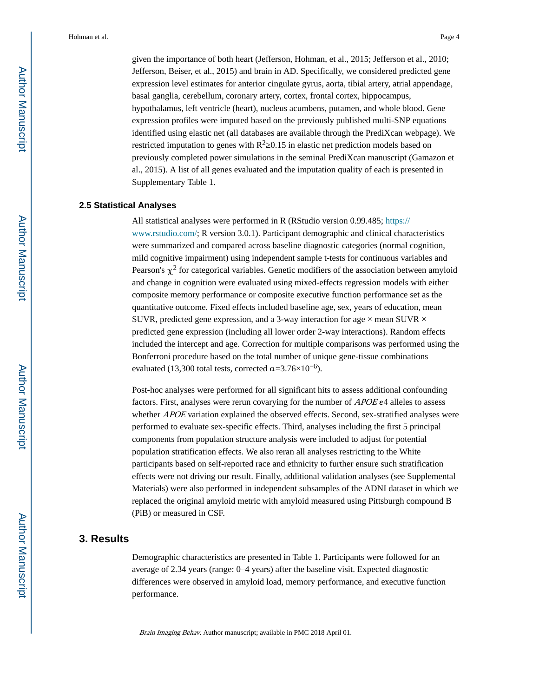given the importance of both heart (Jefferson, Hohman, et al., 2015; Jefferson et al., 2010; Jefferson, Beiser, et al., 2015) and brain in AD. Specifically, we considered predicted gene expression level estimates for anterior cingulate gyrus, aorta, tibial artery, atrial appendage, basal ganglia, cerebellum, coronary artery, cortex, frontal cortex, hippocampus, hypothalamus, left ventricle (heart), nucleus acumbens, putamen, and whole blood. Gene expression profiles were imputed based on the previously published multi-SNP equations identified using elastic net (all databases are available through the PrediXcan webpage). We restricted imputation to genes with  $R^2$  0.15 in elastic net prediction models based on previously completed power simulations in the seminal PrediXcan manuscript (Gamazon et al., 2015). A list of all genes evaluated and the imputation quality of each is presented in Supplementary Table 1.

#### **2.5 Statistical Analyses**

All statistical analyses were performed in R (RStudio version 0.99.485; [https://](https://www.rstudio.com/) [www.rstudio.com/;](https://www.rstudio.com/) R version 3.0.1). Participant demographic and clinical characteristics were summarized and compared across baseline diagnostic categories (normal cognition, mild cognitive impairment) using independent sample t-tests for continuous variables and Pearson's  $\chi^2$  for categorical variables. Genetic modifiers of the association between amyloid and change in cognition were evaluated using mixed-effects regression models with either composite memory performance or composite executive function performance set as the quantitative outcome. Fixed effects included baseline age, sex, years of education, mean SUVR, predicted gene expression, and a 3-way interaction for age  $\times$  mean SUVR  $\times$ predicted gene expression (including all lower order 2-way interactions). Random effects included the intercept and age. Correction for multiple comparisons was performed using the Bonferroni procedure based on the total number of unique gene-tissue combinations evaluated (13,300 total tests, corrected  $\alpha$ =3.76×10<sup>-6</sup>).

Post-hoc analyses were performed for all significant hits to assess additional confounding factors. First, analyses were rerun covarying for the number of APOE e4 alleles to assess whether *APOE* variation explained the observed effects. Second, sex-stratified analyses were performed to evaluate sex-specific effects. Third, analyses including the first 5 principal components from population structure analysis were included to adjust for potential population stratification effects. We also reran all analyses restricting to the White participants based on self-reported race and ethnicity to further ensure such stratification effects were not driving our result. Finally, additional validation analyses (see Supplemental Materials) were also performed in independent subsamples of the ADNI dataset in which we replaced the original amyloid metric with amyloid measured using Pittsburgh compound B (PiB) or measured in CSF.

## **3. Results**

Demographic characteristics are presented in Table 1. Participants were followed for an average of 2.34 years (range: 0–4 years) after the baseline visit. Expected diagnostic differences were observed in amyloid load, memory performance, and executive function performance.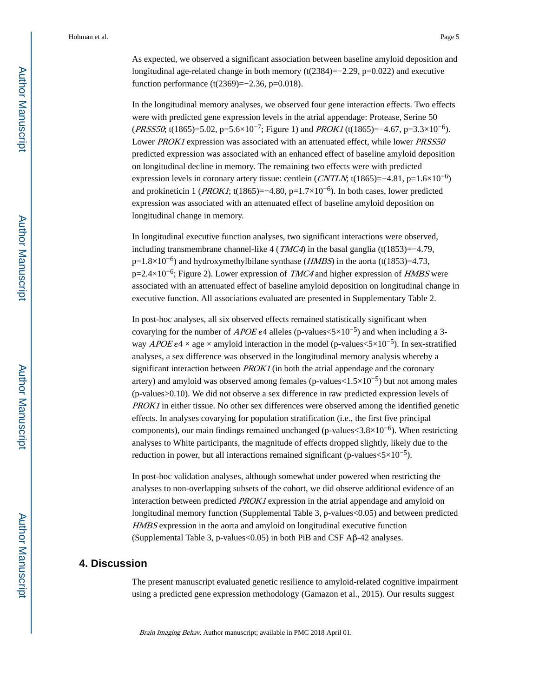As expected, we observed a significant association between baseline amyloid deposition and longitudinal age-related change in both memory (t(2384)=−2.29, p=0.022) and executive function performance (t(2369)=−2.36, p=0.018).

In the longitudinal memory analyses, we observed four gene interaction effects. Two effects were with predicted gene expression levels in the atrial appendage: Protease, Serine 50  $(PRSS50; t(1865)=5.02, p=5.6\times10^{-7};$  Figure 1) and  $PROK1$  (t(1865)=-4.67, p=3.3×10<sup>-6</sup>). Lower PROK1 expression was associated with an attenuated effect, while lower PRSS50 predicted expression was associated with an enhanced effect of baseline amyloid deposition on longitudinal decline in memory. The remaining two effects were with predicted expression levels in coronary artery tissue: centlein (CNTLN; t(1865)=−4.81, p=1.6×10<sup>-6</sup>) and prokineticin 1 (*PROK1*; t(1865)=−4.80, p=1.7×10<sup>-6</sup>). In both cases, lower predicted expression was associated with an attenuated effect of baseline amyloid deposition on longitudinal change in memory.

In longitudinal executive function analyses, two significant interactions were observed, including transmembrane channel-like 4 (*TMC4*) in the basal ganglia (t(1853)=−4.79,  $p=1.8\times10^{-6}$ ) and hydroxymethylbilane synthase (*HMBS*) in the aorta (t(1853)=4.73,  $p=2.4\times10^{-6}$ ; Figure 2). Lower expression of *TMC4* and higher expression of *HMBS* were associated with an attenuated effect of baseline amyloid deposition on longitudinal change in executive function. All associations evaluated are presented in Supplementary Table 2.

In post-hoc analyses, all six observed effects remained statistically significant when covarying for the number of APOE  $\varepsilon$ 4 alleles (p-values<5×10<sup>-5</sup>) and when including a 3way APOE  $e^4 \times a e \times am$ yloid interaction in the model (p-values<5×10<sup>-5</sup>). In sex-stratified analyses, a sex difference was observed in the longitudinal memory analysis whereby a significant interaction between *PROK1* (in both the atrial appendage and the coronary artery) and amyloid was observed among females (p-values  $1.5 \times 10^{-5}$ ) but not among males (p-values>0.10). We did not observe a sex difference in raw predicted expression levels of PROK1 in either tissue. No other sex differences were observed among the identified genetic effects. In analyses covarying for population stratification (i.e., the first five principal components), our main findings remained unchanged (p-values<3.8×10−6). When restricting analyses to White participants, the magnitude of effects dropped slightly, likely due to the reduction in power, but all interactions remained significant (p-values  $5 \times 10^{-5}$ ).

In post-hoc validation analyses, although somewhat under powered when restricting the analyses to non-overlapping subsets of the cohort, we did observe additional evidence of an interaction between predicted PROK1 expression in the atrial appendage and amyloid on longitudinal memory function (Supplemental Table 3, p-values  $0.05$ ) and between predicted HMBS expression in the aorta and amyloid on longitudinal executive function (Supplemental Table 3, p-values<0.05) in both PiB and CSF Aβ-42 analyses.

## **4. Discussion**

The present manuscript evaluated genetic resilience to amyloid-related cognitive impairment using a predicted gene expression methodology (Gamazon et al., 2015). Our results suggest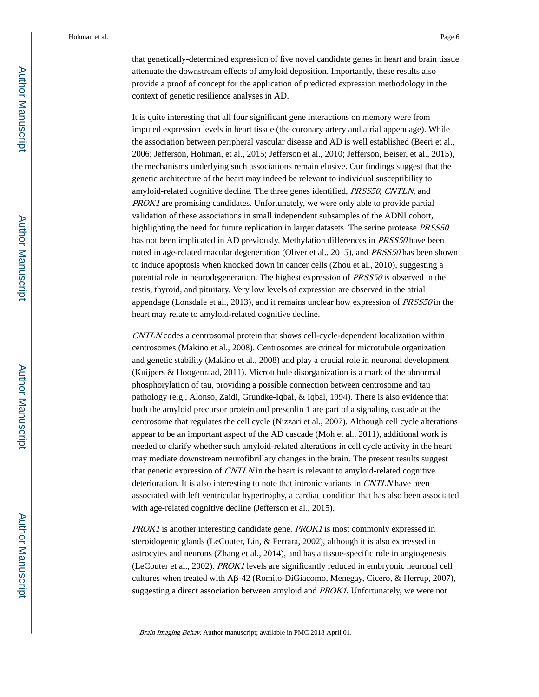that genetically-determined expression of five novel candidate genes in heart and brain tissue attenuate the downstream effects of amyloid deposition. Importantly, these results also provide a proof of concept for the application of predicted expression methodology in the context of genetic resilience analyses in AD.

It is quite interesting that all four significant gene interactions on memory were from imputed expression levels in heart tissue (the coronary artery and atrial appendage). While the association between peripheral vascular disease and AD is well established (Beeri et al., 2006; Jefferson, Hohman, et al., 2015; Jefferson et al., 2010; Jefferson, Beiser, et al., 2015), the mechanisms underlying such associations remain elusive. Our findings suggest that the genetic architecture of the heart may indeed be relevant to individual susceptibility to amyloid-related cognitive decline. The three genes identified, PRSS50, CNTLN, and PROK1 are promising candidates. Unfortunately, we were only able to provide partial validation of these associations in small independent subsamples of the ADNI cohort, highlighting the need for future replication in larger datasets. The serine protease PRSS50 has not been implicated in AD previously. Methylation differences in *PRSS50* have been noted in age-related macular degeneration (Oliver et al., 2015), and PRSS50 has been shown to induce apoptosis when knocked down in cancer cells (Zhou et al., 2010), suggesting a potential role in neurodegeneration. The highest expression of PRSS50 is observed in the testis, thyroid, and pituitary. Very low levels of expression are observed in the atrial appendage (Lonsdale et al., 2013), and it remains unclear how expression of  $PRSS50$  in the heart may relate to amyloid-related cognitive decline.

CNTLN codes a centrosomal protein that shows cell-cycle-dependent localization within centrosomes (Makino et al., 2008). Centrosomes are critical for microtubule organization and genetic stability (Makino et al., 2008) and play a crucial role in neuronal development (Kuijpers & Hoogenraad, 2011). Microtubule disorganization is a mark of the abnormal phosphorylation of tau, providing a possible connection between centrosome and tau pathology (e.g., Alonso, Zaidi, Grundke-Iqbal, & Iqbal, 1994). There is also evidence that both the amyloid precursor protein and presenlin 1 are part of a signaling cascade at the centrosome that regulates the cell cycle (Nizzari et al., 2007). Although cell cycle alterations appear to be an important aspect of the AD cascade (Moh et al., 2011), additional work is needed to clarify whether such amyloid-related alterations in cell cycle activity in the heart may mediate downstream neurofibrillary changes in the brain. The present results suggest that genetic expression of CNTLN in the heart is relevant to amyloid-related cognitive deterioration. It is also interesting to note that intronic variants in CNTLN have been associated with left ventricular hypertrophy, a cardiac condition that has also been associated with age-related cognitive decline (Jefferson et al., 2015).

PROK1 is another interesting candidate gene. PROK1 is most commonly expressed in steroidogenic glands (LeCouter, Lin, & Ferrara, 2002), although it is also expressed in astrocytes and neurons (Zhang et al., 2014), and has a tissue-specific role in angiogenesis (LeCouter et al., 2002). PROK1 levels are significantly reduced in embryonic neuronal cell cultures when treated with Aβ-42 (Romito-DiGiacomo, Menegay, Cicero, & Herrup, 2007), suggesting a direct association between amyloid and PROK1. Unfortunately, we were not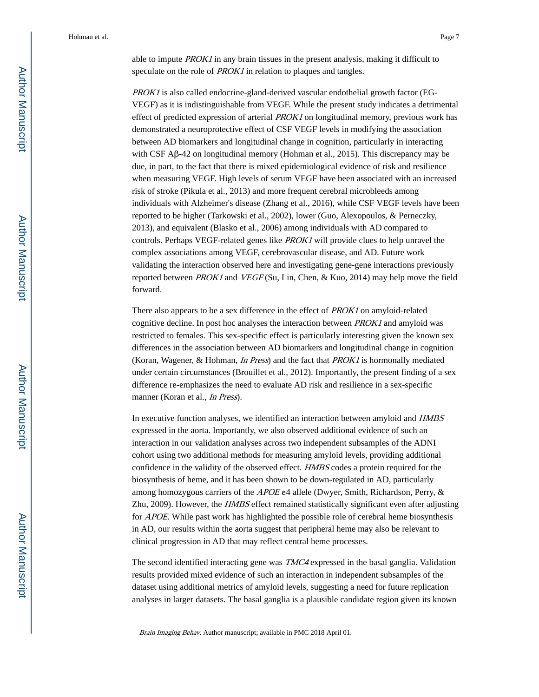able to impute PROK1 in any brain tissues in the present analysis, making it difficult to speculate on the role of *PROK1* in relation to plaques and tangles.

PROK1 is also called endocrine-gland-derived vascular endothelial growth factor (EG-VEGF) as it is indistinguishable from VEGF. While the present study indicates a detrimental effect of predicted expression of arterial *PROK1* on longitudinal memory, previous work has demonstrated a neuroprotective effect of CSF VEGF levels in modifying the association between AD biomarkers and longitudinal change in cognition, particularly in interacting with CSF Aβ-42 on longitudinal memory (Hohman et al., 2015). This discrepancy may be due, in part, to the fact that there is mixed epidemiological evidence of risk and resilience when measuring VEGF. High levels of serum VEGF have been associated with an increased risk of stroke (Pikula et al., 2013) and more frequent cerebral microbleeds among individuals with Alzheimer's disease (Zhang et al., 2016), while CSF VEGF levels have been reported to be higher (Tarkowski et al., 2002), lower (Guo, Alexopoulos, & Perneczky, 2013), and equivalent (Blasko et al., 2006) among individuals with AD compared to controls. Perhaps VEGF-related genes like PROK1 will provide clues to help unravel the complex associations among VEGF, cerebrovascular disease, and AD. Future work validating the interaction observed here and investigating gene-gene interactions previously reported between *PROK1* and *VEGF* (Su, Lin, Chen, & Kuo, 2014) may help move the field forward.

There also appears to be a sex difference in the effect of *PROK1* on amyloid-related cognitive decline. In post hoc analyses the interaction between PROK1 and amyloid was restricted to females. This sex-specific effect is particularly interesting given the known sex differences in the association between AD biomarkers and longitudinal change in cognition (Koran, Wagener, & Hohman, *In Press*) and the fact that *PROK1* is hormonally mediated under certain circumstances (Brouillet et al., 2012). Importantly, the present finding of a sex difference re-emphasizes the need to evaluate AD risk and resilience in a sex-specific manner (Koran et al., *In Press*).

In executive function analyses, we identified an interaction between amyloid and HMBS expressed in the aorta. Importantly, we also observed additional evidence of such an interaction in our validation analyses across two independent subsamples of the ADNI cohort using two additional methods for measuring amyloid levels, providing additional confidence in the validity of the observed effect. HMBS codes a protein required for the biosynthesis of heme, and it has been shown to be down-regulated in AD, particularly among homozygous carriers of the APOE ε4 allele (Dwyer, Smith, Richardson, Perry, & Zhu, 2009). However, the HMBS effect remained statistically significant even after adjusting for APOE. While past work has highlighted the possible role of cerebral heme biosynthesis in AD, our results within the aorta suggest that peripheral heme may also be relevant to clinical progression in AD that may reflect central heme processes.

The second identified interacting gene was TMC4 expressed in the basal ganglia. Validation results provided mixed evidence of such an interaction in independent subsamples of the dataset using additional metrics of amyloid levels, suggesting a need for future replication analyses in larger datasets. The basal ganglia is a plausible candidate region given its known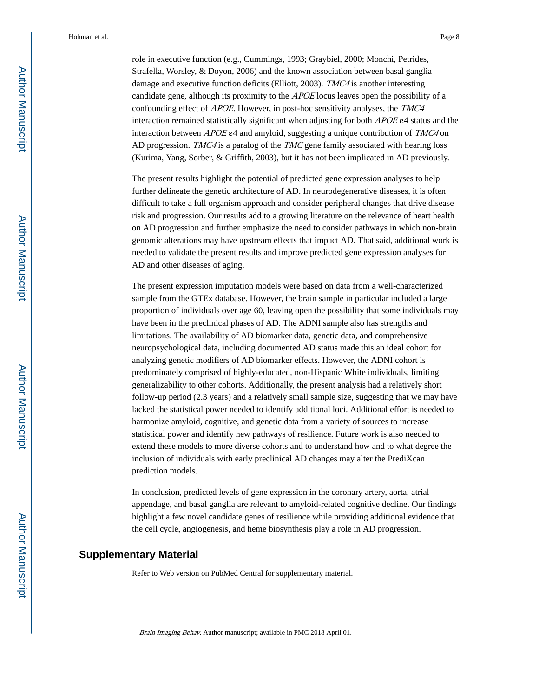role in executive function (e.g., Cummings, 1993; Graybiel, 2000; Monchi, Petrides, Strafella, Worsley, & Doyon, 2006) and the known association between basal ganglia damage and executive function deficits (Elliott, 2003). TMC4 is another interesting candidate gene, although its proximity to the APOE locus leaves open the possibility of a confounding effect of APOE. However, in post-hoc sensitivity analyses, the TMC4 interaction remained statistically significant when adjusting for both APOE ε4 status and the interaction between  $APOE$  and amyloid, suggesting a unique contribution of TMC4 on AD progression. TMC4 is a paralog of the TMC gene family associated with hearing loss (Kurima, Yang, Sorber, & Griffith, 2003), but it has not been implicated in AD previously.

The present results highlight the potential of predicted gene expression analyses to help further delineate the genetic architecture of AD. In neurodegenerative diseases, it is often difficult to take a full organism approach and consider peripheral changes that drive disease risk and progression. Our results add to a growing literature on the relevance of heart health on AD progression and further emphasize the need to consider pathways in which non-brain genomic alterations may have upstream effects that impact AD. That said, additional work is needed to validate the present results and improve predicted gene expression analyses for AD and other diseases of aging.

The present expression imputation models were based on data from a well-characterized sample from the GTEx database. However, the brain sample in particular included a large proportion of individuals over age 60, leaving open the possibility that some individuals may have been in the preclinical phases of AD. The ADNI sample also has strengths and limitations. The availability of AD biomarker data, genetic data, and comprehensive neuropsychological data, including documented AD status made this an ideal cohort for analyzing genetic modifiers of AD biomarker effects. However, the ADNI cohort is predominately comprised of highly-educated, non-Hispanic White individuals, limiting generalizability to other cohorts. Additionally, the present analysis had a relatively short follow-up period (2.3 years) and a relatively small sample size, suggesting that we may have lacked the statistical power needed to identify additional loci. Additional effort is needed to harmonize amyloid, cognitive, and genetic data from a variety of sources to increase statistical power and identify new pathways of resilience. Future work is also needed to extend these models to more diverse cohorts and to understand how and to what degree the inclusion of individuals with early preclinical AD changes may alter the PrediXcan prediction models.

In conclusion, predicted levels of gene expression in the coronary artery, aorta, atrial appendage, and basal ganglia are relevant to amyloid-related cognitive decline. Our findings highlight a few novel candidate genes of resilience while providing additional evidence that the cell cycle, angiogenesis, and heme biosynthesis play a role in AD progression.

#### **Supplementary Material**

Refer to Web version on PubMed Central for supplementary material.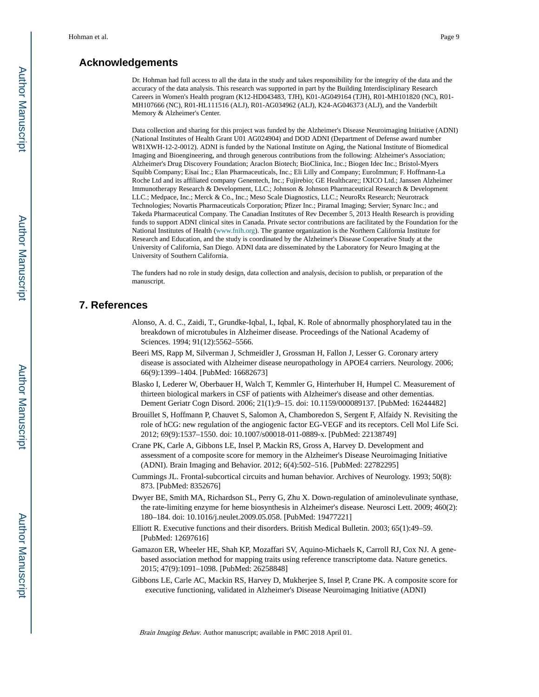### **Acknowledgements**

Dr. Hohman had full access to all the data in the study and takes responsibility for the integrity of the data and the accuracy of the data analysis. This research was supported in part by the Building Interdisciplinary Research Careers in Women's Health program (K12-HD043483, TJH), K01-AG049164 (TJH), R01-MH101820 (NC), R01- MH107666 (NC), R01-HL111516 (ALJ), R01-AG034962 (ALJ), K24-AG046373 (ALJ), and the Vanderbilt Memory & Alzheimer's Center.

Data collection and sharing for this project was funded by the Alzheimer's Disease Neuroimaging Initiative (ADNI) (National Institutes of Health Grant U01 AG024904) and DOD ADNI (Department of Defense award number W81XWH-12-2-0012). ADNI is funded by the National Institute on Aging, the National Institute of Biomedical Imaging and Bioengineering, and through generous contributions from the following: Alzheimer's Association; Alzheimer's Drug Discovery Foundation; Araclon Biotech; BioClinica, Inc.; Biogen Idec Inc.; Bristol-Myers Squibb Company; Eisai Inc.; Elan Pharmaceuticals, Inc.; Eli Lilly and Company; EuroImmun; F. Hoffmann-La Roche Ltd and its affiliated company Genentech, Inc.; Fujirebio; GE Healthcare;; IXICO Ltd.; Janssen Alzheimer Immunotherapy Research & Development, LLC.; Johnson & Johnson Pharmaceutical Research & Development LLC.; Medpace, Inc.; Merck & Co., Inc.; Meso Scale Diagnostics, LLC.; NeuroRx Research; Neurotrack Technologies; Novartis Pharmaceuticals Corporation; Pfizer Inc.; Piramal Imaging; Servier; Synarc Inc.; and Takeda Pharmaceutical Company. The Canadian Institutes of Rev December 5, 2013 Health Research is providing funds to support ADNI clinical sites in Canada. Private sector contributions are facilitated by the Foundation for the National Institutes of Health ([www.fnih.org\)](http://www.fnih.org). The grantee organization is the Northern California Institute for Research and Education, and the study is coordinated by the Alzheimer's Disease Cooperative Study at the University of California, San Diego. ADNI data are disseminated by the Laboratory for Neuro Imaging at the University of Southern California.

The funders had no role in study design, data collection and analysis, decision to publish, or preparation of the manuscript.

## **7. References**

- Alonso, A. d. C., Zaidi, T., Grundke-Iqbal, I., Iqbal, K. Role of abnormally phosphorylated tau in the breakdown of microtubules in Alzheimer disease. Proceedings of the National Academy of Sciences. 1994; 91(12):5562-5566.
- Beeri MS, Rapp M, Silverman J, Schmeidler J, Grossman H, Fallon J, Lesser G. Coronary artery disease is associated with Alzheimer disease neuropathology in APOE4 carriers. Neurology. 2006; 66(9):1399–1404. [PubMed: 16682673]
- Blasko I, Lederer W, Oberbauer H, Walch T, Kemmler G, Hinterhuber H, Humpel C. Measurement of thirteen biological markers in CSF of patients with Alzheimer's disease and other dementias. Dement Geriatr Cogn Disord. 2006; 21(1):9–15. doi: 10.1159/000089137. [PubMed: 16244482]
- Brouillet S, Hoffmann P, Chauvet S, Salomon A, Chamboredon S, Sergent F, Alfaidy N. Revisiting the role of hCG: new regulation of the angiogenic factor EG-VEGF and its receptors. Cell Mol Life Sci. 2012; 69(9):1537–1550. doi: 10.1007/s00018-011-0889-x. [PubMed: 22138749]
- Crane PK, Carle A, Gibbons LE, Insel P, Mackin RS, Gross A, Harvey D. Development and assessment of a composite score for memory in the Alzheimer's Disease Neuroimaging Initiative (ADNI). Brain Imaging and Behavior. 2012; 6(4):502–516. [PubMed: 22782295]
- Cummings JL. Frontal-subcortical circuits and human behavior. Archives of Neurology. 1993; 50(8): 873. [PubMed: 8352676]
- Dwyer BE, Smith MA, Richardson SL, Perry G, Zhu X. Down-regulation of aminolevulinate synthase, the rate-limiting enzyme for heme biosynthesis in Alzheimer's disease. Neurosci Lett. 2009; 460(2): 180–184. doi: 10.1016/j.neulet.2009.05.058. [PubMed: 19477221]
- Elliott R. Executive functions and their disorders. British Medical Bulletin. 2003; 65(1):49–59. [PubMed: 12697616]
- Gamazon ER, Wheeler HE, Shah KP, Mozaffari SV, Aquino-Michaels K, Carroll RJ, Cox NJ. A genebased association method for mapping traits using reference transcriptome data. Nature genetics. 2015; 47(9):1091–1098. [PubMed: 26258848]
- Gibbons LE, Carle AC, Mackin RS, Harvey D, Mukherjee S, Insel P, Crane PK. A composite score for executive functioning, validated in Alzheimer's Disease Neuroimaging Initiative (ADNI)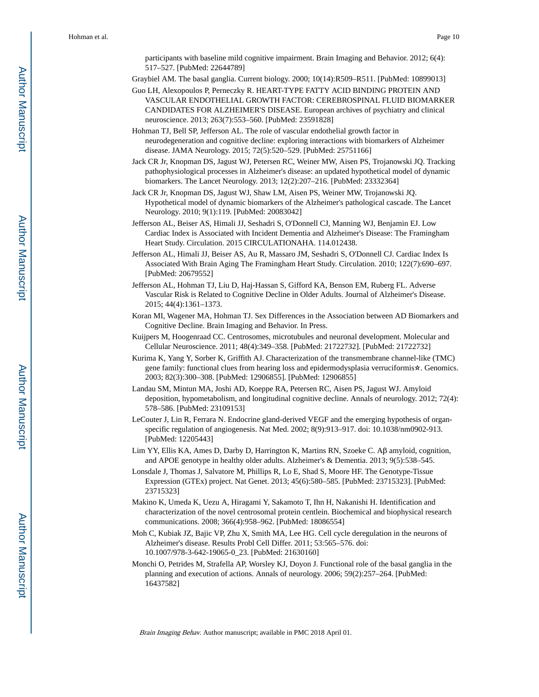participants with baseline mild cognitive impairment. Brain Imaging and Behavior. 2012; 6(4): 517–527. [PubMed: 22644789]

Graybiel AM. The basal ganglia. Current biology. 2000; 10(14):R509–R511. [PubMed: 10899013]

- Guo LH, Alexopoulos P, Perneczky R. HEART-TYPE FATTY ACID BINDING PROTEIN AND VASCULAR ENDOTHELIAL GROWTH FACTOR: CEREBROSPINAL FLUID BIOMARKER CANDIDATES FOR ALZHEIMER'S DISEASE. European archives of psychiatry and clinical neuroscience. 2013; 263(7):553–560. [PubMed: 23591828]
- Hohman TJ, Bell SP, Jefferson AL. The role of vascular endothelial growth factor in neurodegeneration and cognitive decline: exploring interactions with biomarkers of Alzheimer disease. JAMA Neurology. 2015; 72(5):520–529. [PubMed: 25751166]
- Jack CR Jr, Knopman DS, Jagust WJ, Petersen RC, Weiner MW, Aisen PS, Trojanowski JQ. Tracking pathophysiological processes in Alzheimer's disease: an updated hypothetical model of dynamic biomarkers. The Lancet Neurology. 2013; 12(2):207–216. [PubMed: 23332364]
- Jack CR Jr, Knopman DS, Jagust WJ, Shaw LM, Aisen PS, Weiner MW, Trojanowski JQ. Hypothetical model of dynamic biomarkers of the Alzheimer's pathological cascade. The Lancet Neurology. 2010; 9(1):119. [PubMed: 20083042]
- Jefferson AL, Beiser AS, Himali JJ, Seshadri S, O'Donnell CJ, Manning WJ, Benjamin EJ. Low Cardiac Index is Associated with Incident Dementia and Alzheimer's Disease: The Framingham Heart Study. Circulation. 2015 CIRCULATIONAHA. 114.012438.
- Jefferson AL, Himali JJ, Beiser AS, Au R, Massaro JM, Seshadri S, O'Donnell CJ. Cardiac Index Is Associated With Brain Aging The Framingham Heart Study. Circulation. 2010; 122(7):690–697. [PubMed: 20679552]
- Jefferson AL, Hohman TJ, Liu D, Haj-Hassan S, Gifford KA, Benson EM, Ruberg FL. Adverse Vascular Risk is Related to Cognitive Decline in Older Adults. Journal of Alzheimer's Disease. 2015; 44(4):1361–1373.
- Koran MI, Wagener MA, Hohman TJ. Sex Differences in the Association between AD Biomarkers and Cognitive Decline. Brain Imaging and Behavior. In Press.
- Kuijpers M, Hoogenraad CC. Centrosomes, microtubules and neuronal development. Molecular and Cellular Neuroscience. 2011; 48(4):349–358. [PubMed: 21722732]. [PubMed: 21722732]
- Kurima K, Yang Y, Sorber K, Griffith AJ. Characterization of the transmembrane channel-like (TMC) gene family: functional clues from hearing loss and epidermodysplasia verruciformis☆. Genomics. 2003; 82(3):300–308. [PubMed: 12906855]. [PubMed: 12906855]
- Landau SM, Mintun MA, Joshi AD, Koeppe RA, Petersen RC, Aisen PS, Jagust WJ. Amyloid deposition, hypometabolism, and longitudinal cognitive decline. Annals of neurology. 2012; 72(4): 578–586. [PubMed: 23109153]
- LeCouter J, Lin R, Ferrara N. Endocrine gland-derived VEGF and the emerging hypothesis of organspecific regulation of angiogenesis. Nat Med. 2002; 8(9):913–917. doi: 10.1038/nm0902-913. [PubMed: 12205443]
- Lim YY, Ellis KA, Ames D, Darby D, Harrington K, Martins RN, Szoeke C. Aβ amyloid, cognition, and APOE genotype in healthy older adults. Alzheimer's & Dementia. 2013; 9(5):538–545.
- Lonsdale J, Thomas J, Salvatore M, Phillips R, Lo E, Shad S, Moore HF. The Genotype-Tissue Expression (GTEx) project. Nat Genet. 2013; 45(6):580–585. [PubMed: 23715323]. [PubMed: 23715323]
- Makino K, Umeda K, Uezu A, Hiragami Y, Sakamoto T, Ihn H, Nakanishi H. Identification and characterization of the novel centrosomal protein centlein. Biochemical and biophysical research communications. 2008; 366(4):958–962. [PubMed: 18086554]
- Moh C, Kubiak JZ, Bajic VP, Zhu X, Smith MA, Lee HG. Cell cycle deregulation in the neurons of Alzheimer's disease. Results Probl Cell Differ. 2011; 53:565–576. doi: 10.1007/978-3-642-19065-0\_23. [PubMed: 21630160]
- Monchi O, Petrides M, Strafella AP, Worsley KJ, Doyon J. Functional role of the basal ganglia in the planning and execution of actions. Annals of neurology. 2006; 59(2):257–264. [PubMed: 16437582]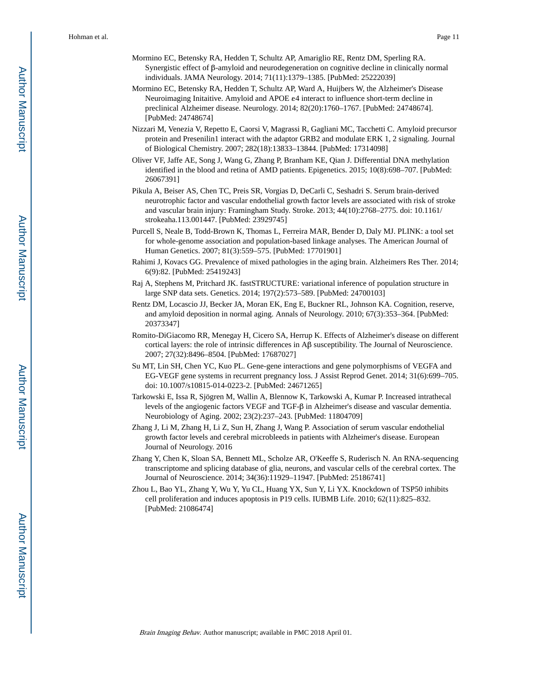- Mormino EC, Betensky RA, Hedden T, Schultz AP, Amariglio RE, Rentz DM, Sperling RA. Synergistic effect of β-amyloid and neurodegeneration on cognitive decline in clinically normal individuals. JAMA Neurology. 2014; 71(11):1379–1385. [PubMed: 25222039]
- Mormino EC, Betensky RA, Hedden T, Schultz AP, Ward A, Huijbers W, the Alzheimer's Disease Neuroimaging Initaitive. Amyloid and APOE ε4 interact to influence short-term decline in preclinical Alzheimer disease. Neurology. 2014; 82(20):1760–1767. [PubMed: 24748674]. [PubMed: 24748674]
- Nizzari M, Venezia V, Repetto E, Caorsi V, Magrassi R, Gagliani MC, Tacchetti C. Amyloid precursor protein and Presenilin1 interact with the adaptor GRB2 and modulate ERK 1, 2 signaling. Journal of Biological Chemistry. 2007; 282(18):13833–13844. [PubMed: 17314098]
- Oliver VF, Jaffe AE, Song J, Wang G, Zhang P, Branham KE, Qian J. Differential DNA methylation identified in the blood and retina of AMD patients. Epigenetics. 2015; 10(8):698–707. [PubMed: 26067391]
- Pikula A, Beiser AS, Chen TC, Preis SR, Vorgias D, DeCarli C, Seshadri S. Serum brain-derived neurotrophic factor and vascular endothelial growth factor levels are associated with risk of stroke and vascular brain injury: Framingham Study. Stroke. 2013; 44(10):2768–2775. doi: 10.1161/ strokeaha.113.001447. [PubMed: 23929745]
- Purcell S, Neale B, Todd-Brown K, Thomas L, Ferreira MAR, Bender D, Daly MJ. PLINK: a tool set for whole-genome association and population-based linkage analyses. The American Journal of Human Genetics. 2007; 81(3):559–575. [PubMed: 17701901]
- Rahimi J, Kovacs GG. Prevalence of mixed pathologies in the aging brain. Alzheimers Res Ther. 2014; 6(9):82. [PubMed: 25419243]
- Raj A, Stephens M, Pritchard JK. fastSTRUCTURE: variational inference of population structure in large SNP data sets. Genetics. 2014; 197(2):573–589. [PubMed: 24700103]
- Rentz DM, Locascio JJ, Becker JA, Moran EK, Eng E, Buckner RL, Johnson KA. Cognition, reserve, and amyloid deposition in normal aging. Annals of Neurology. 2010; 67(3):353–364. [PubMed: 20373347]
- Romito-DiGiacomo RR, Menegay H, Cicero SA, Herrup K. Effects of Alzheimer's disease on different cortical layers: the role of intrinsic differences in Aβ susceptibility. The Journal of Neuroscience. 2007; 27(32):8496–8504. [PubMed: 17687027]
- Su MT, Lin SH, Chen YC, Kuo PL. Gene-gene interactions and gene polymorphisms of VEGFA and EG-VEGF gene systems in recurrent pregnancy loss. J Assist Reprod Genet. 2014; 31(6):699–705. doi: 10.1007/s10815-014-0223-2. [PubMed: 24671265]
- Tarkowski E, Issa R, Sjögren M, Wallin A, Blennow K, Tarkowski A, Kumar P. Increased intrathecal levels of the angiogenic factors VEGF and TGF-β in Alzheimer's disease and vascular dementia. Neurobiology of Aging. 2002; 23(2):237–243. [PubMed: 11804709]
- Zhang J, Li M, Zhang H, Li Z, Sun H, Zhang J, Wang P. Association of serum vascular endothelial growth factor levels and cerebral microbleeds in patients with Alzheimer's disease. European Journal of Neurology. 2016
- Zhang Y, Chen K, Sloan SA, Bennett ML, Scholze AR, O'Keeffe S, Ruderisch N. An RNA-sequencing transcriptome and splicing database of glia, neurons, and vascular cells of the cerebral cortex. The Journal of Neuroscience. 2014; 34(36):11929–11947. [PubMed: 25186741]
- Zhou L, Bao YL, Zhang Y, Wu Y, Yu CL, Huang YX, Sun Y, Li YX. Knockdown of TSP50 inhibits cell proliferation and induces apoptosis in P19 cells. IUBMB Life. 2010; 62(11):825–832. [PubMed: 21086474]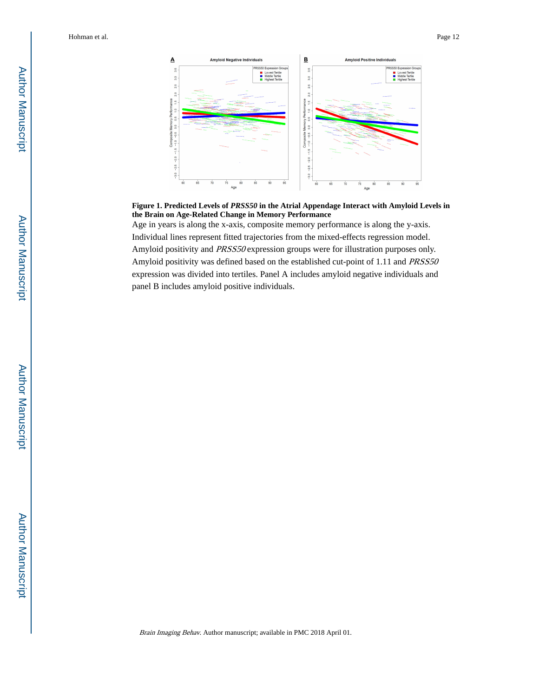

**Figure 1. Predicted Levels of** *PRSS50* **in the Atrial Appendage Interact with Amyloid Levels in the Brain on Age-Related Change in Memory Performance**

Age in years is along the x-axis, composite memory performance is along the y-axis. Individual lines represent fitted trajectories from the mixed-effects regression model. Amyloid positivity and PRSS50 expression groups were for illustration purposes only. Amyloid positivity was defined based on the established cut-point of 1.11 and PRSS50 expression was divided into tertiles. Panel A includes amyloid negative individuals and panel B includes amyloid positive individuals.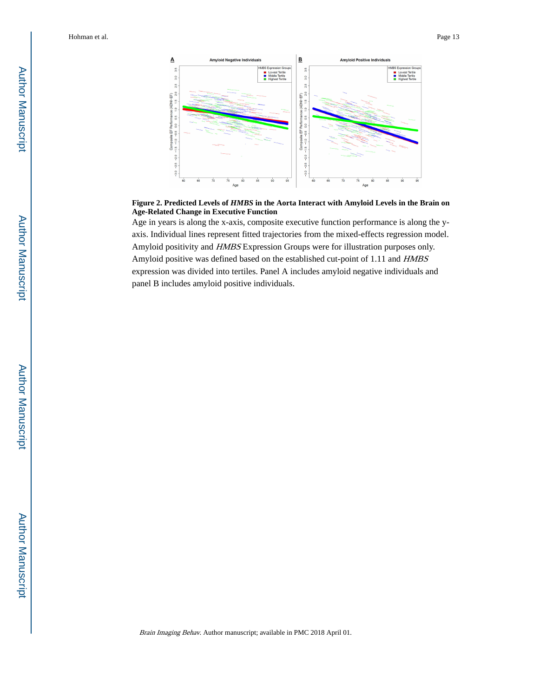

**Figure 2. Predicted Levels of** *HMBS* **in the Aorta Interact with Amyloid Levels in the Brain on Age-Related Change in Executive Function**

Age in years is along the x-axis, composite executive function performance is along the yaxis. Individual lines represent fitted trajectories from the mixed-effects regression model. Amyloid positivity and HMBS Expression Groups were for illustration purposes only. Amyloid positive was defined based on the established cut-point of 1.11 and HMBS expression was divided into tertiles. Panel A includes amyloid negative individuals and panel B includes amyloid positive individuals.